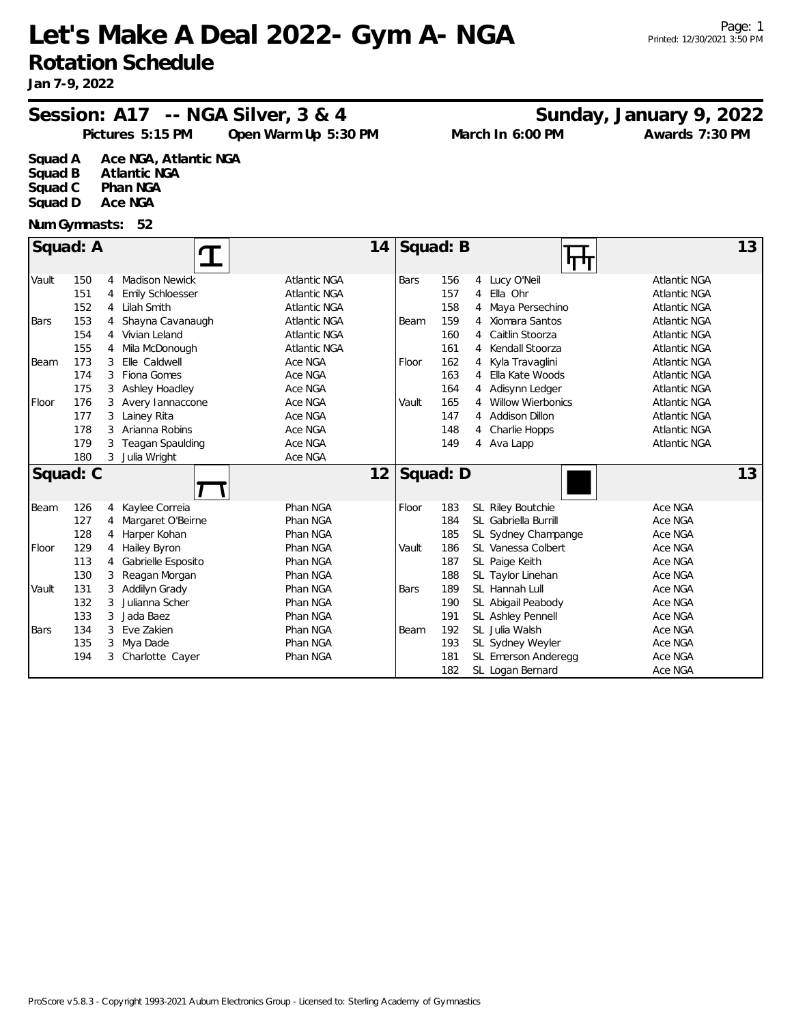# **Let's Make A Deal 2022- Gym A- NGA Rotation Schedule**

## Session: A17 -- NGA Silver, 3 & 4 Sunday, January 9, 2022

**Pictures 5:15 PM March In 6:00 PM Open Warm Up 5:30 PM Awards 7:30 PM**

**Squad A Ace NGA, Atlantic NGA**

**Atlantic NGA Squad C Phan NGA**

**Squad D Ace NGA**

#### **Num Gymnasts: 52**

| Squad: A<br>14 |          |   |                         |                     |          | Squad: B<br>13<br>पण |                |                          |                     |    |  |
|----------------|----------|---|-------------------------|---------------------|----------|----------------------|----------------|--------------------------|---------------------|----|--|
| Vault          | 150      | 4 | <b>Madison Newick</b>   | <b>Atlantic NGA</b> | Bars     | 156                  |                | 4 Lucy O'Neil            | <b>Atlantic NGA</b> |    |  |
|                | 151      | 4 | Emily Schloesser        | <b>Atlantic NGA</b> |          | 157                  | 4              | Ella Ohr                 | <b>Atlantic NGA</b> |    |  |
|                | 152      | 4 | Lilah Smith             | Atlantic NGA        |          | 158                  |                | Maya Persechino          | <b>Atlantic NGA</b> |    |  |
| <b>Bars</b>    | 153      | 4 | Shayna Cavanaugh        | <b>Atlantic NGA</b> | Beam     | 159                  |                | 4 Xiomara Santos         | <b>Atlantic NGA</b> |    |  |
|                | 154      | 4 | Vivian Leland           | <b>Atlantic NGA</b> |          | 160                  | 4              | Caitlin Stoorza          | <b>Atlantic NGA</b> |    |  |
|                | 155      | 4 | Mila McDonough          | <b>Atlantic NGA</b> |          | 161                  | 4              | Kendall Stoorza          | <b>Atlantic NGA</b> |    |  |
| Beam           | 173      |   | Elle Caldwell           | Ace NGA             | Floor    | 162                  | 4              | Kyla Travaglini          | <b>Atlantic NGA</b> |    |  |
|                | 174      | 3 | Fiona Gomes             | Ace NGA             |          | 163                  | 4              | Ella Kate Woods          | <b>Atlantic NGA</b> |    |  |
|                | 175      |   | Ashley Hoadley          | Ace NGA             |          | 164                  | 4              | Adisynn Ledger           | <b>Atlantic NGA</b> |    |  |
| Floor          | 176      |   | Avery lannaccone        | Ace NGA             | Vault    | 165                  | 4              | <b>Willow Wierbonics</b> | <b>Atlantic NGA</b> |    |  |
|                | 177      | 3 | Lainey Rita             | Ace NGA             |          | 147                  | 4              | Addison Dillon           | <b>Atlantic NGA</b> |    |  |
|                | 178      | 3 | Arianna Robins          | Ace NGA             |          | 148                  | $\overline{4}$ | Charlie Hopps            | <b>Atlantic NGA</b> |    |  |
|                | 179      | 3 | <b>Teagan Spaulding</b> | Ace NGA             |          | 149                  |                | 4 Ava Lapp               | <b>Atlantic NGA</b> |    |  |
|                | 180      |   | 3 Julia Wright          | Ace NGA             |          |                      |                |                          |                     |    |  |
|                | Squad: C |   |                         | 12                  | Squad: D |                      |                |                          |                     | 13 |  |
| Beam           | 126      | 4 | Kaylee Correia          | Phan NGA            | Floor    | 183                  |                | SL Riley Boutchie        | Ace NGA             |    |  |
|                | 127      | 4 | Margaret O'Beirne       | Phan NGA            |          | 184                  |                | SL Gabriella Burrill     | Ace NGA             |    |  |
|                | 128      | 4 | Harper Kohan            | Phan NGA            |          | 185                  |                | SL Sydney Champange      | Ace NGA             |    |  |
| Floor          | 129      | 4 | Hailey Byron            | Phan NGA            | Vault    | 186                  |                | SL Vanessa Colbert       | Ace NGA             |    |  |
|                | 113      | 4 | Gabrielle Esposito      | Phan NGA            |          | 187                  |                | SL Paige Keith           | Ace NGA             |    |  |
|                | 130      | 3 | Reagan Morgan           | Phan NGA            |          | 188                  |                | SL Taylor Linehan        | Ace NGA             |    |  |
| Vault          | 131      | 3 | Addilyn Grady           | Phan NGA            | Bars     | 189                  |                | SL Hannah Lull           | Ace NGA             |    |  |
|                | 132      | 3 | Julianna Scher          | Phan NGA            |          | 190                  |                | SL Abigail Peabody       | Ace NGA             |    |  |
|                | 133      |   | Jada Baez               | Phan NGA            |          | 191                  |                | SL Ashley Pennell        | Ace NGA             |    |  |
| <b>Bars</b>    | 134      | 3 | Eve Zakien              | Phan NGA            | Beam     | 192                  |                | SL Julia Walsh           | Ace NGA             |    |  |
|                | 135      |   | Mya Dade                | Phan NGA            |          | 193                  |                | SL Sydney Weyler         | Ace NGA             |    |  |
|                | 194      |   | 3 Charlotte Cayer       | Phan NGA            |          | 181                  |                | SL Emerson Anderegg      | Ace NGA             |    |  |
|                |          |   |                         |                     |          | 182                  |                | SL Logan Bernard         | Ace NGA             |    |  |